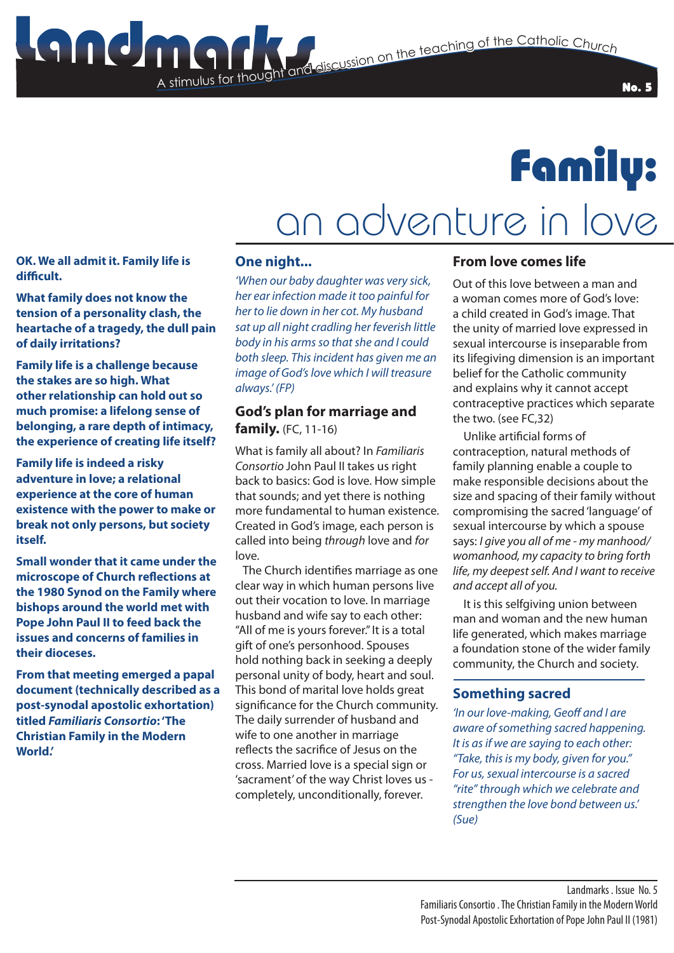

# Family:

# an adventure in love

**OK. We all admit it. Family life is difficult.**

**What family does not know the tension of a personality clash, the heartache of a tragedy, the dull pain of daily irritations?**

**Family life is a challenge because the stakes are so high. What other relationship can hold out so much promise: a lifelong sense of belonging, a rare depth of intimacy, the experience of creating life itself?**

**Family life is indeed a risky adventure in love; a relational experience at the core of human existence with the power to make or break not only persons, but society itself.**

**Small wonder that it came under the microscope of Church reflections at the 1980 Synod on the Family where bishops around the world met with Pope John Paul II to feed back the issues and concerns of families in their dioceses.** 

**From that meeting emerged a papal document (technically described as a post-synodal apostolic exhortation) titled** *Familiaris Consortio***: 'The Christian Family in the Modern World.'**

### **One night...**

A stimulus for thought

*'When our baby daughter was very sick, her ear infection made it too painful for her to lie down in her cot. My husband sat up all night cradling her feverish little body in his arms so that she and I could both sleep. This incident has given me an image of God's love which I will treasure always.' (FP)*

## **God's plan for marriage and family.** (FC, 11-16)

What is family all about? In *Familiaris Consortio* John Paul II takes us right back to basics: God is love. How simple that sounds; and yet there is nothing more fundamental to human existence. Created in God's image, each person is called into being *through* love and *for* love.

 The Church identifies marriage as one clear way in which human persons live out their vocation to love. In marriage husband and wife say to each other: "All of me is yours forever." It is a total gift of one's personhood. Spouses hold nothing back in seeking a deeply personal unity of body, heart and soul. This bond of marital love holds great significance for the Church community. The daily surrender of husband and wife to one another in marriage reflects the sacrifice of Jesus on the cross. Married love is a special sign or 'sacrament' of the way Christ loves us completely, unconditionally, forever.

### **From love comes life**

Out of this love between a man and a woman comes more of God's love: a child created in God's image. That the unity of married love expressed in sexual intercourse is inseparable from its lifegiving dimension is an important belief for the Catholic community and explains why it cannot accept contraceptive practices which separate the two. (see FC,32)

 Unlike artificial forms of contraception, natural methods of family planning enable a couple to make responsible decisions about the size and spacing of their family without compromising the sacred 'language' of sexual intercourse by which a spouse says: *I give you all of me - my manhood/ womanhood, my capacity to bring forth life, my deepest self. And I want to receive and accept all of you.*

 It is this selfgiving union between man and woman and the new human life generated, which makes marriage a foundation stone of the wider family community, the Church and society.

## **Something sacred**

*'In our love-making, Geoff and I are aware of something sacred happening. It is as if we are saying to each other: "Take, this is my body, given for you." For us, sexual intercourse is a sacred "rite" through which we celebrate and strengthen the love bond between us.' (Sue)*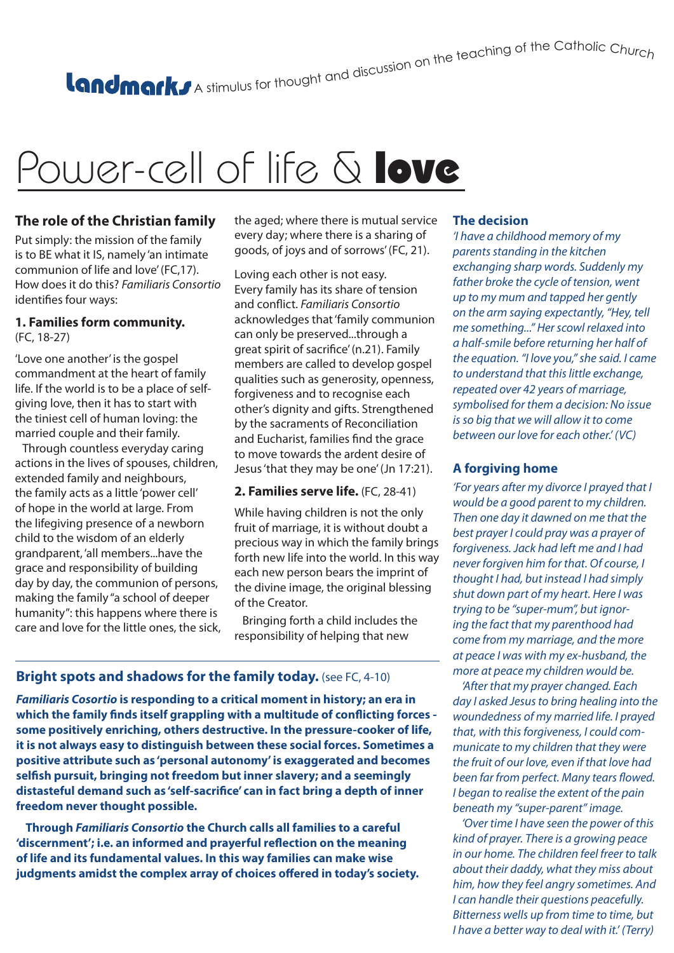# A stimulus for thought and discussion on the teaching of the Catholic Churc<sub>h</sub>

# Power-cell of life & love

### **The role of the Christian family**

Put simply: the mission of the family is to BE what it IS, namely 'an intimate communion of life and love' (FC,17). How does it do this? *Familiaris Consortio* identifies four ways:

#### **1. Families form community.** (FC, 18-27)

'Love one another' is the gospel commandment at the heart of family life. If the world is to be a place of selfgiving love, then it has to start with the tiniest cell of human loving: the married couple and their family.

 Through countless everyday caring actions in the lives of spouses, children, extended family and neighbours, the family acts as a little 'power cell' of hope in the world at large. From the lifegiving presence of a newborn child to the wisdom of an elderly grandparent, 'all members...have the grace and responsibility of building day by day, the communion of persons, making the family "a school of deeper humanity": this happens where there is care and love for the little ones, the sick, the aged; where there is mutual service every day; where there is a sharing of goods, of joys and of sorrows' (FC, 21).

#### Loving each other is not easy. Every family has its share of tension and conflict. *Familiaris Consortio* acknowledges that 'family communion can only be preserved...through a great spirit of sacrifice' (n.21). Family members are called to develop gospel qualities such as generosity, openness, forgiveness and to recognise each other's dignity and gifts. Strengthened by the sacraments of Reconciliation and Eucharist, families find the grace to move towards the ardent desire of Jesus 'that they may be one' (Jn 17:21).

#### **2. Families serve life.** (FC, 28-41)

While having children is not the only fruit of marriage, it is without doubt a precious way in which the family brings forth new life into the world. In this way each new person bears the imprint of the divine image, the original blessing of the Creator.

 Bringing forth a child includes the responsibility of helping that new

## **Bright spots and shadows for the family today.** (see FC, 4-10)

*Familiaris Cosortio* **is responding to a critical moment in history; an era in which the family finds itself grappling with a multitude of conflicting forces some positively enriching, others destructive. In the pressure-cooker of life, it is not always easy to distinguish between these social forces. Sometimes a positive attribute such as 'personal autonomy' is exaggerated and becomes selfish pursuit, bringing not freedom but inner slavery; and a seemingly distasteful demand such as 'self-sacrifice' can in fact bring a depth of inner freedom never thought possible.**

 **Through** *Familiaris Consortio* **the Church calls all families to a careful 'discernment'; i.e. an informed and prayerful reflection on the meaning of life and its fundamental values. In this way families can make wise judgments amidst the complex array of choices offered in today's society.** 

#### **The decision**

*'I have a childhood memory of my parents standing in the kitchen exchanging sharp words. Suddenly my father broke the cycle of tension, went up to my mum and tapped her gently on the arm saying expectantly, "Hey, tell me something..." Her scowl relaxed into a half-smile before returning her half of the equation. "I love you," she said. I came to understand that this little exchange, repeated over 42 years of marriage, symbolised for them a decision: No issue is so big that we will allow it to come between our love for each other.' (VC)* 

### **A forgiving home**

*'For years after my divorce I prayed that I would be a good parent to my children. Then one day it dawned on me that the best prayer I could pray was a prayer of forgiveness. Jack had left me and I had never forgiven him for that. Of course, I thought I had, but instead I had simply shut down part of my heart. Here I was trying to be "super-mum", but ignoring the fact that my parenthood had come from my marriage, and the more at peace I was with my ex-husband, the more at peace my children would be.*

 *'After that my prayer changed. Each day I asked Jesus to bring healing into the woundedness of my married life. I prayed that, with this forgiveness, I could communicate to my children that they were the fruit of our love, even if that love had been far from perfect. Many tears flowed. I began to realise the extent of the pain beneath my "super-parent" image.*

 *'Over time I have seen the power of this kind of prayer. There is a growing peace in our home. The children feel freer to talk about their daddy, what they miss about him, how they feel angry sometimes. And I can handle their questions peacefully. Bitterness wells up from time to time, but I have a better way to deal with it.' (Terry)*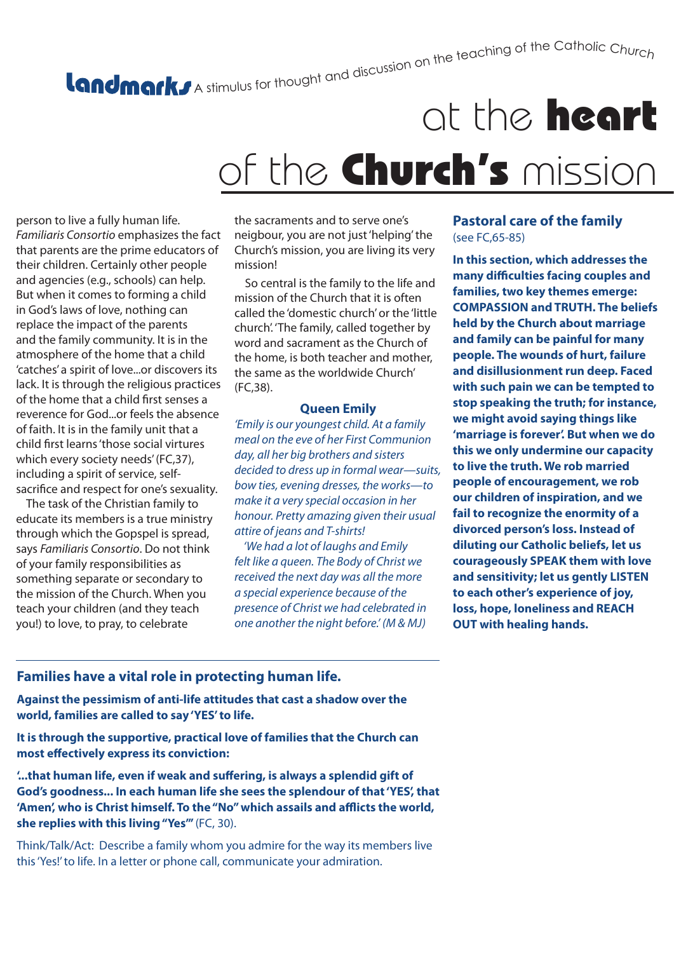# A stimulus for thought and discussion on the teaching of the Catholic Churc<sub>h</sub>

# at the heart of the Church's mission

person to live a fully human life. *Familiaris Consortio* emphasizes the fact that parents are the prime educators of their children. Certainly other people and agencies (e.g., schools) can help. But when it comes to forming a child in God's laws of love, nothing can replace the impact of the parents and the family community. It is in the atmosphere of the home that a child 'catches' a spirit of love...or discovers its lack. It is through the religious practices of the home that a child first senses a reverence for God...or feels the absence of faith. It is in the family unit that a child first learns 'those social virtures which every society needs' (FC,37), including a spirit of service, selfsacrifice and respect for one's sexuality.

 The task of the Christian family to educate its members is a true ministry through which the Gopspel is spread, says *Familiaris Consortio*. Do not think of your family responsibilities as something separate or secondary to the mission of the Church. When you teach your children (and they teach you!) to love, to pray, to celebrate

the sacraments and to serve one's neigbour, you are not just 'helping' the Church's mission, you are living its very mission!

 So central is the family to the life and mission of the Church that it is often called the 'domestic church' or the 'little church'. 'The family, called together by word and sacrament as the Church of the home, is both teacher and mother, the same as the worldwide Church' (FC,38).

#### **Queen Emily**

*'Emily is our youngest child. At a family meal on the eve of her First Communion day, all her big brothers and sisters decided to dress up in formal wear—suits, bow ties, evening dresses, the works—to make it a very special occasion in her honour. Pretty amazing given their usual attire of jeans and T-shirts!* 

 *'We had a lot of laughs and Emily felt like a queen. The Body of Christ we received the next day was all the more a special experience because of the presence of Christ we had celebrated in one another the night before.' (M & MJ)*

#### **Pastoral care of the family** (see FC,65-85)

**In this section, which addresses the many difficulties facing couples and families, two key themes emerge: COMPASSION and TRUTH. The beliefs held by the Church about marriage and family can be painful for many people. The wounds of hurt, failure and disillusionment run deep. Faced with such pain we can be tempted to stop speaking the truth; for instance, we might avoid saying things like 'marriage is forever'. But when we do this we only undermine our capacity to live the truth. We rob married people of encouragement, we rob our children of inspiration, and we fail to recognize the enormity of a divorced person's loss. Instead of diluting our Catholic beliefs, let us courageously SPEAK them with love and sensitivity; let us gently LISTEN to each other's experience of joy, loss, hope, loneliness and REACH OUT with healing hands.**

## **Families have a vital role in protecting human life.**

**Against the pessimism of anti-life attitudes that cast a shadow over the world, families are called to say 'YES' to life.**

**It is through the supportive, practical love of families that the Church can most effectively express its conviction:**

**'...that human life, even if weak and suffering, is always a splendid gift of God's goodness... In each human life she sees the splendour of that 'YES', that 'Amen', who is Christ himself. To the "No" which assails and afflicts the world, she replies with this living "Yes"'** (FC, 30).

Think/Talk/Act: Describe a family whom you admire for the way its members live this 'Yes!' to life. In a letter or phone call, communicate your admiration.